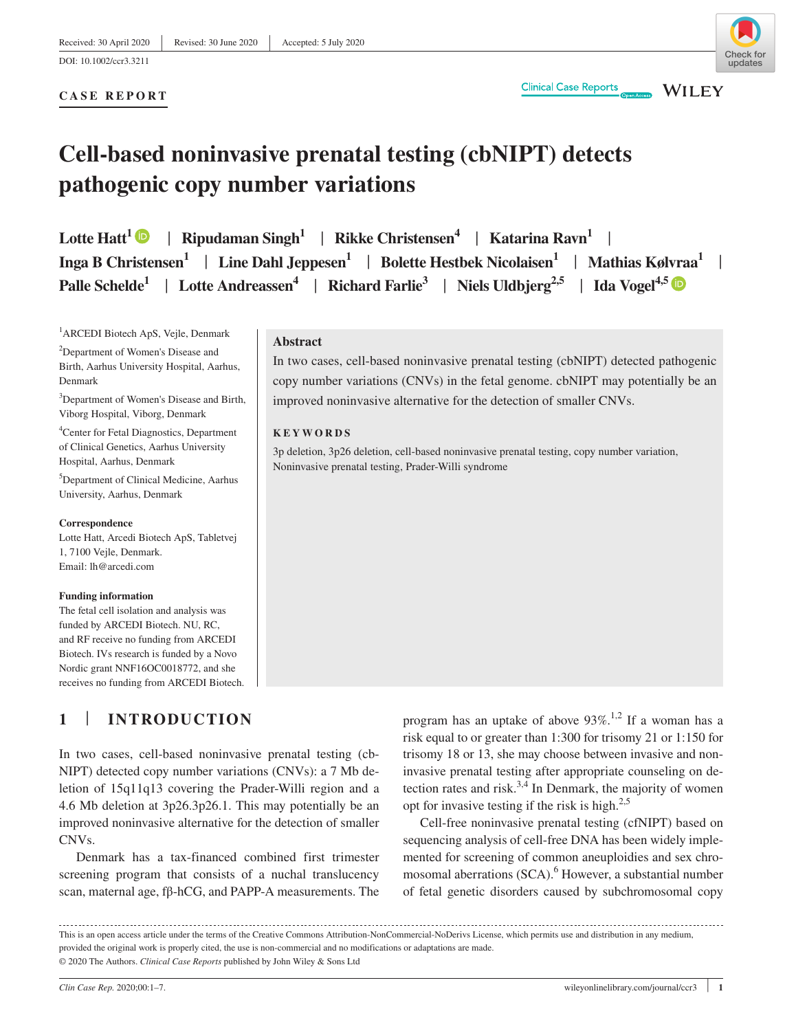## **CASE REPORT**

# **Cell-based noninvasive prenatal testing (cbNIPT) detects pathogenic copy number variations**

**Lotte Hatt**<sup>[1](https://orcid.org/0000-0003-0141-9172)</sup>  $\bullet$  | Ripudaman Singh<sup>1</sup> | Rikke Christensen<sup>4</sup> | Katarina Ravn<sup>1</sup> | **Inga B Christensen1** | **Line Dahl Jeppesen1** | **Bolette Hestbek Nicolaisen1** | **Mathias Kølvraa1** | **Palle Schelde<sup>1</sup> | Lotte Andreassen<sup>4</sup> | Richard Farlie<sup>3</sup> | Niels Uldbjerg<sup>2,[5](https://orcid.org/0000-0002-1125-0393)</sup> | Ida Vogel<sup>4,5</sup> | <b>Dogel** 

<sup>1</sup>ARCEDI Biotech ApS, Vejle, Denmark

<sup>2</sup>Department of Women's Disease and Birth, Aarhus University Hospital, Aarhus, Denmark

<sup>3</sup>Department of Women's Disease and Birth, Viborg Hospital, Viborg, Denmark

4 Center for Fetal Diagnostics, Department of Clinical Genetics, Aarhus University Hospital, Aarhus, Denmark

5 Department of Clinical Medicine, Aarhus University, Aarhus, Denmark

#### **Correspondence**

Lotte Hatt, Arcedi Biotech ApS, Tabletvej 1, 7100 Vejle, Denmark. Email: [lh@arcedi.com](mailto:lh@arcedi.com)

#### **Funding information**

The fetal cell isolation and analysis was funded by ARCEDI Biotech. NU, RC, and RF receive no funding from ARCEDI Biotech. IVs research is funded by a Novo Nordic grant NNF16OC0018772, and she receives no funding from ARCEDI Biotech.

# **1** | **INTRODUCTION**

In two cases, cell-based noninvasive prenatal testing (cb-NIPT) detected copy number variations (CNVs): a 7 Mb deletion of 15q11q13 covering the Prader-Willi region and a 4.6 Mb deletion at 3p26.3p26.1. This may potentially be an improved noninvasive alternative for the detection of smaller CNVs.

Denmark has a tax-financed combined first trimester screening program that consists of a nuchal translucency scan, maternal age, fβ-hCG, and PAPP-A measurements. The

**Abstract**

In two cases, cell-based noninvasive prenatal testing (cbNIPT) detected pathogenic copy number variations (CNVs) in the fetal genome. cbNIPT may potentially be an improved noninvasive alternative for the detection of smaller CNVs.

**Clinical Case Reports** 

#### **KEYWORDS**

3p deletion, 3p26 deletion, cell-based noninvasive prenatal testing, copy number variation, Noninvasive prenatal testing, Prader-Willi syndrome

> program has an uptake of above  $93\%$ .<sup>1,2</sup> If a woman has a risk equal to or greater than 1:300 for trisomy 21 or 1:150 for trisomy 18 or 13, she may choose between invasive and noninvasive prenatal testing after appropriate counseling on detection rates and risk.<sup>3,4</sup> In Denmark, the majority of women opt for invasive testing if the risk is high. $2.5$

> Cell-free noninvasive prenatal testing (cfNIPT) based on sequencing analysis of cell-free DNA has been widely implemented for screening of common aneuploidies and sex chromosomal aberrations (SCA).<sup>6</sup> However, a substantial number of fetal genetic disorders caused by subchromosomal copy

This is an open access article under the terms of the [Creative Commons Attribution-NonCommercial-NoDerivs](http://creativecommons.org/licenses/by-nc-nd/4.0/) License, which permits use and distribution in any medium, provided the original work is properly cited, the use is non-commercial and no modifications or adaptations are made. © 2020 The Authors. *Clinical Case Reports* published by John Wiley & Sons Ltd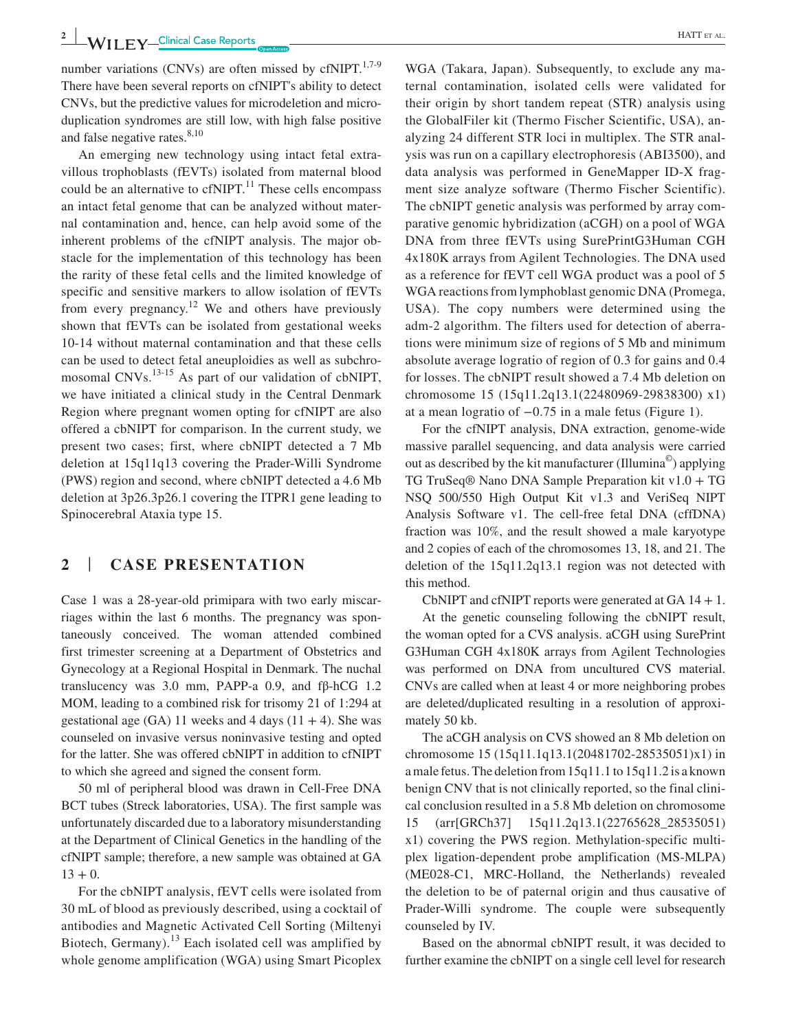number variations (CNVs) are often missed by cfNIPT. $^{1,7-9}$ There have been several reports on cfNIPT's ability to detect CNVs, but the predictive values for microdeletion and microduplication syndromes are still low, with high false positive and false negative rates.<sup>8,10</sup>

An emerging new technology using intact fetal extravillous trophoblasts (fEVTs) isolated from maternal blood could be an alternative to  $cfNIPT<sup>11</sup>$ . These cells encompass an intact fetal genome that can be analyzed without maternal contamination and, hence, can help avoid some of the inherent problems of the cfNIPT analysis. The major obstacle for the implementation of this technology has been the rarity of these fetal cells and the limited knowledge of specific and sensitive markers to allow isolation of fEVTs from every pregnancy.<sup>12</sup> We and others have previously shown that fEVTs can be isolated from gestational weeks 10-14 without maternal contamination and that these cells can be used to detect fetal aneuploidies as well as subchromosomal CNVs.<sup>13-15</sup> As part of our validation of cbNIPT, we have initiated a clinical study in the Central Denmark Region where pregnant women opting for cfNIPT are also offered a cbNIPT for comparison. In the current study, we present two cases; first, where cbNIPT detected a 7 Mb deletion at 15q11q13 covering the Prader-Willi Syndrome (PWS) region and second, where cbNIPT detected a 4.6 Mb deletion at 3p26.3p26.1 covering the ITPR1 gene leading to Spinocerebral Ataxia type 15.

## **2** | **CASE PRESENTATION**

Case 1 was a 28-year-old primipara with two early miscarriages within the last 6 months. The pregnancy was spontaneously conceived. The woman attended combined first trimester screening at a Department of Obstetrics and Gynecology at a Regional Hospital in Denmark. The nuchal translucency was 3.0 mm, PAPP-a 0.9, and fβ-hCG 1.2 MOM, leading to a combined risk for trisomy 21 of 1:294 at gestational age (GA) 11 weeks and 4 days ( $11 + 4$ ). She was counseled on invasive versus noninvasive testing and opted for the latter. She was offered cbNIPT in addition to cfNIPT to which she agreed and signed the consent form.

50 ml of peripheral blood was drawn in Cell-Free DNA BCT tubes (Streck laboratories, USA). The first sample was unfortunately discarded due to a laboratory misunderstanding at the Department of Clinical Genetics in the handling of the cfNIPT sample; therefore, a new sample was obtained at GA  $13 + 0.$ 

For the cbNIPT analysis, fEVT cells were isolated from 30 mL of blood as previously described, using a cocktail of antibodies and Magnetic Activated Cell Sorting (Miltenyi Biotech, Germany).<sup>13</sup> Each isolated cell was amplified by whole genome amplification (WGA) using Smart Picoplex WGA (Takara, Japan). Subsequently, to exclude any maternal contamination, isolated cells were validated for their origin by short tandem repeat (STR) analysis using the GlobalFiler kit (Thermo Fischer Scientific, USA), analyzing 24 different STR loci in multiplex. The STR analysis was run on a capillary electrophoresis (ABI3500), and data analysis was performed in GeneMapper ID-X fragment size analyze software (Thermo Fischer Scientific). The cbNIPT genetic analysis was performed by array comparative genomic hybridization (aCGH) on a pool of WGA DNA from three fEVTs using SurePrintG3Human CGH 4x180K arrays from Agilent Technologies. The DNA used as a reference for fEVT cell WGA product was a pool of 5 WGA reactions from lymphoblast genomic DNA (Promega, USA). The copy numbers were determined using the adm-2 algorithm. The filters used for detection of aberrations were minimum size of regions of 5 Mb and minimum absolute average logratio of region of 0.3 for gains and 0.4 for losses. The cbNIPT result showed a 7.4 Mb deletion on chromosome 15 (15q11.2q13.1(22480969-29838300) x1) at a mean logratio of −0.75 in a male fetus (Figure 1).

For the cfNIPT analysis, DNA extraction, genome-wide massive parallel sequencing, and data analysis were carried out as described by the kit manufacturer (Illumina©) applying TG TruSeq® Nano DNA Sample Preparation kit v1.0 + TG NSQ 500/550 High Output Kit v1.3 and VeriSeq NIPT Analysis Software v1. The cell-free fetal DNA (cffDNA) fraction was 10%, and the result showed a male karyotype and 2 copies of each of the chromosomes 13, 18, and 21. The deletion of the 15q11.2q13.1 region was not detected with this method.

CbNIPT and cfNIPT reports were generated at  $GA\ 14 + 1$ .

At the genetic counseling following the cbNIPT result, the woman opted for a CVS analysis. aCGH using SurePrint G3Human CGH 4x180K arrays from Agilent Technologies was performed on DNA from uncultured CVS material. CNVs are called when at least 4 or more neighboring probes are deleted/duplicated resulting in a resolution of approximately 50 kb.

The aCGH analysis on CVS showed an 8 Mb deletion on chromosome 15 (15q11.1q13.1(20481702-28535051)x1) in a male fetus. The deletion from 15q11.1 to 15q11.2 is a known benign CNV that is not clinically reported, so the final clinical conclusion resulted in a 5.8 Mb deletion on chromosome 15 (arr[GRCh37] 15q11.2q13.1(22765628\_28535051) x1) covering the PWS region. Methylation-specific multiplex ligation-dependent probe amplification (MS-MLPA) (ME028-C1, MRC-Holland, the Netherlands) revealed the deletion to be of paternal origin and thus causative of Prader-Willi syndrome. The couple were subsequently counseled by IV.

Based on the abnormal cbNIPT result, it was decided to further examine the cbNIPT on a single cell level for research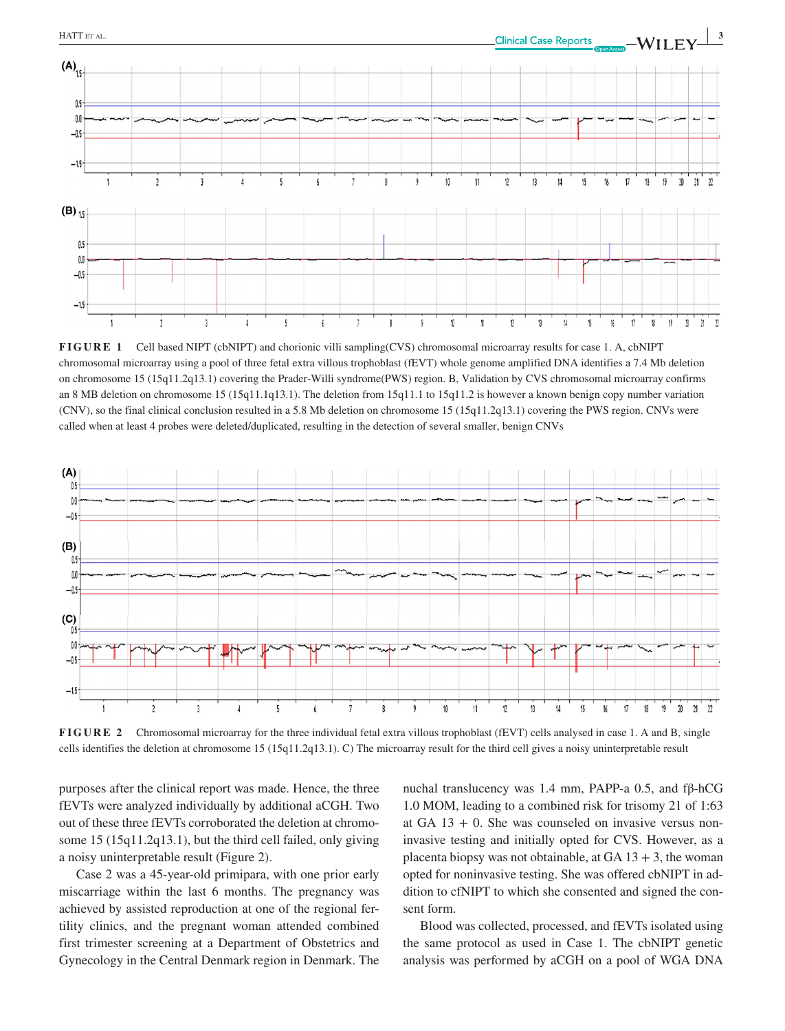

**FIGURE 1** Cell based NIPT (cbNIPT) and chorionic villi sampling(CVS) chromosomal microarray results for case 1. A, cbNIPT chromosomal microarray using a pool of three fetal extra villous trophoblast (fEVT) whole genome amplified DNA identifies a 7.4 Mb deletion on chromosome 15 (15q11.2q13.1) covering the Prader-Willi syndrome(PWS) region. B, Validation by CVS chromosomal microarray confirms an 8 MB deletion on chromosome 15 (15q11.1q13.1). The deletion from 15q11.1 to 15q11.2 is however a known benign copy number variation (CNV), so the final clinical conclusion resulted in a 5.8 Mb deletion on chromosome 15 (15q11.2q13.1) covering the PWS region. CNVs were called when at least 4 probes were deleted/duplicated, resulting in the detection of several smaller, benign CNVs



**FIGURE 2** Chromosomal microarray for the three individual fetal extra villous trophoblast (fEVT) cells analysed in case 1. A and B, single cells identifies the deletion at chromosome 15 (15q11.2q13.1). C) The microarray result for the third cell gives a noisy uninterpretable result

purposes after the clinical report was made. Hence, the three fEVTs were analyzed individually by additional aCGH. Two out of these three fEVTs corroborated the deletion at chromosome 15 (15q11.2q13.1), but the third cell failed, only giving a noisy uninterpretable result (Figure 2).

Case 2 was a 45-year-old primipara, with one prior early miscarriage within the last 6 months. The pregnancy was achieved by assisted reproduction at one of the regional fertility clinics, and the pregnant woman attended combined first trimester screening at a Department of Obstetrics and Gynecology in the Central Denmark region in Denmark. The nuchal translucency was 1.4 mm, PAPP-a 0.5, and fβ-hCG 1.0 MOM, leading to a combined risk for trisomy 21 of 1:63 at GA  $13 + 0$ . She was counseled on invasive versus noninvasive testing and initially opted for CVS. However, as a placenta biopsy was not obtainable, at  $GA$  13 + 3, the woman opted for noninvasive testing. She was offered cbNIPT in addition to cfNIPT to which she consented and signed the consent form.

Blood was collected, processed, and fEVTs isolated using the same protocol as used in Case 1. The cbNIPT genetic analysis was performed by aCGH on a pool of WGA DNA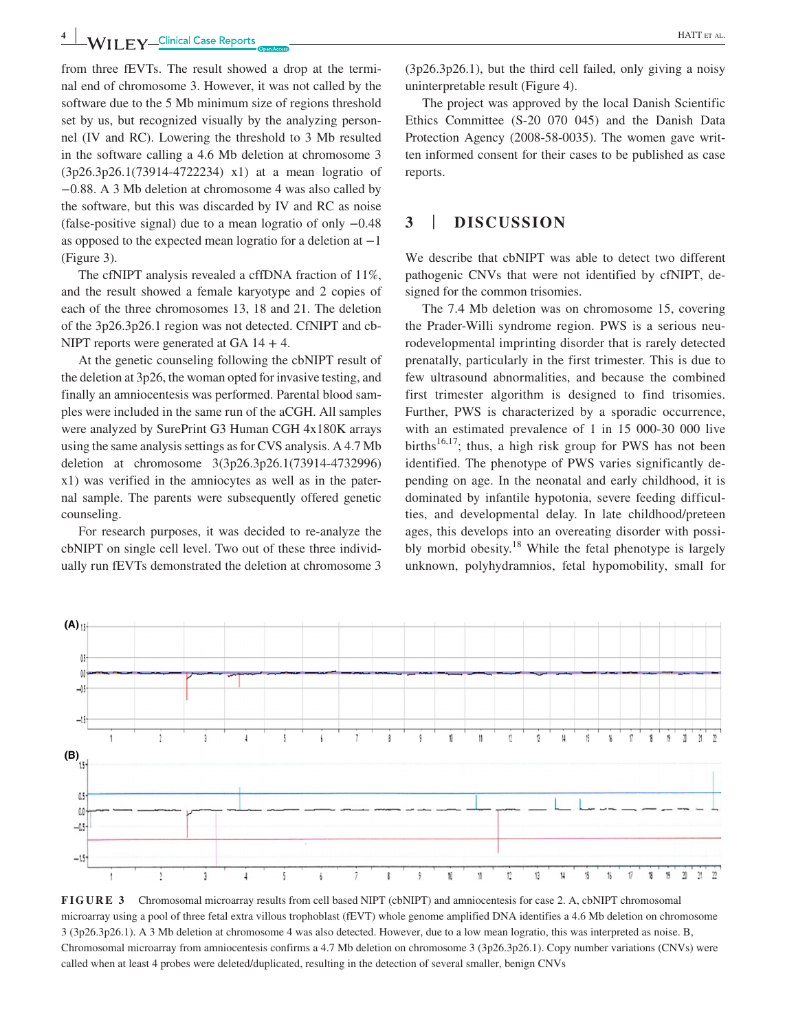**4 WILLEY** Clinical Case Reports **CLINICAL EXECUTION** 

from three fEVTs. The result showed a drop at the terminal end of chromosome 3. However, it was not called by the software due to the 5 Mb minimum size of regions threshold set by us, but recognized visually by the analyzing personnel (IV and RC). Lowering the threshold to 3 Mb resulted in the software calling a 4.6 Mb deletion at chromosome 3 (3p26.3p26.1(73914-4722234) x1) at a mean logratio of −0.88. A 3 Mb deletion at chromosome 4 was also called by the software, but this was discarded by IV and RC as noise (false-positive signal) due to a mean logratio of only −0.48 as opposed to the expected mean logratio for a deletion at −1 (Figure 3).

The cfNIPT analysis revealed a cffDNA fraction of 11%, and the result showed a female karyotype and 2 copies of each of the three chromosomes 13, 18 and 21. The deletion of the 3p26.3p26.1 region was not detected. CfNIPT and cb-NIPT reports were generated at GA  $14 + 4$ .

At the genetic counseling following the cbNIPT result of the deletion at 3p26, the woman opted for invasive testing, and finally an amniocentesis was performed. Parental blood samples were included in the same run of the aCGH. All samples were analyzed by SurePrint G3 Human CGH 4x180K arrays using the same analysis settings as for CVS analysis. A 4.7 Mb deletion at chromosome 3(3p26.3p26.1(73914-4732996) x1) was verified in the amniocytes as well as in the paternal sample. The parents were subsequently offered genetic counseling.

For research purposes, it was decided to re-analyze the cbNIPT on single cell level. Two out of these three individually run fEVTs demonstrated the deletion at chromosome 3 (3p26.3p26.1), but the third cell failed, only giving a noisy uninterpretable result (Figure 4).

The project was approved by the local Danish Scientific Ethics Committee (S-20 070 045) and the Danish Data Protection Agency (2008-58-0035). The women gave written informed consent for their cases to be published as case reports.

## **3** | **DISCUSSION**

We describe that cbNIPT was able to detect two different pathogenic CNVs that were not identified by cfNIPT, designed for the common trisomies.

The 7.4 Mb deletion was on chromosome 15, covering the Prader-Willi syndrome region. PWS is a serious neurodevelopmental imprinting disorder that is rarely detected prenatally, particularly in the first trimester. This is due to few ultrasound abnormalities, and because the combined first trimester algorithm is designed to find trisomies. Further, PWS is characterized by a sporadic occurrence, with an estimated prevalence of 1 in 15 000-30 000 live births<sup>16,17</sup>; thus, a high risk group for PWS has not been identified. The phenotype of PWS varies significantly depending on age. In the neonatal and early childhood, it is dominated by infantile hypotonia, severe feeding difficulties, and developmental delay. In late childhood/preteen ages, this develops into an overeating disorder with possibly morbid obesity.<sup>18</sup> While the fetal phenotype is largely unknown, polyhydramnios, fetal hypomobility, small for



**FIGURE 3** Chromosomal microarray results from cell based NIPT (cbNIPT) and amniocentesis for case 2. A, cbNIPT chromosomal microarray using a pool of three fetal extra villous trophoblast (fEVT) whole genome amplified DNA identifies a 4.6 Mb deletion on chromosome 3 (3p26.3p26.1). A 3 Mb deletion at chromosome 4 was also detected. However, due to a low mean logratio, this was interpreted as noise. B, Chromosomal microarray from amniocentesis confirms a 4.7 Mb deletion on chromosome 3 (3p26.3p26.1). Copy number variations (CNVs) were called when at least 4 probes were deleted/duplicated, resulting in the detection of several smaller, benign CNVs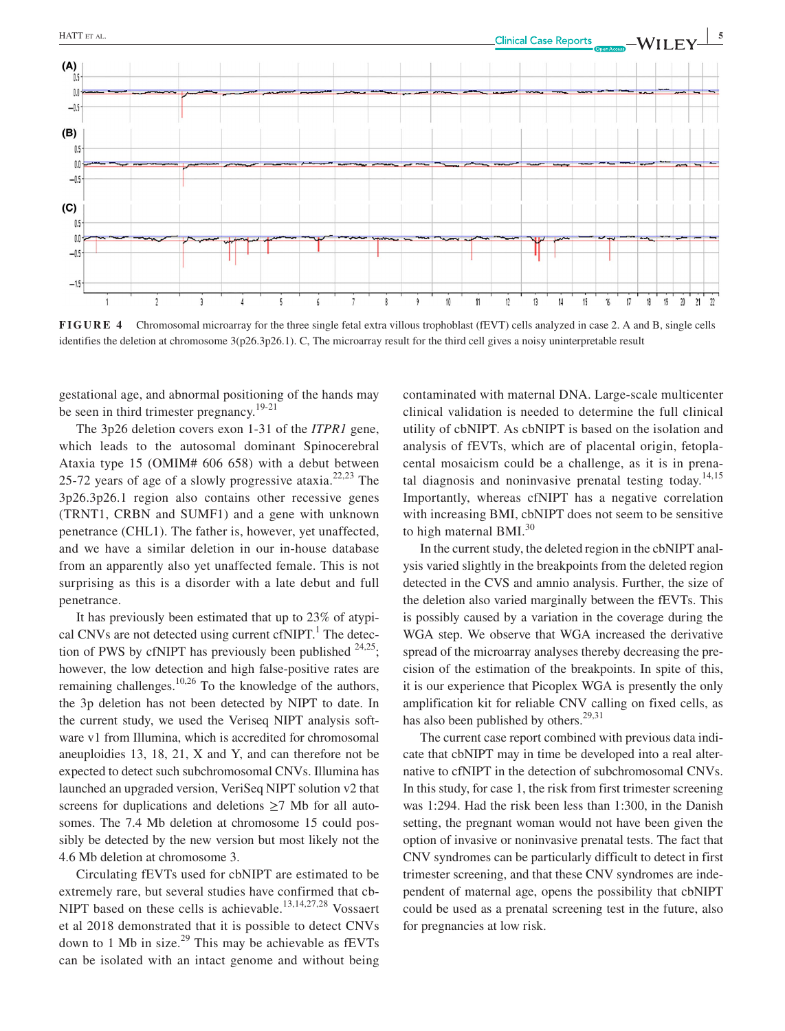

**FIGURE 4** Chromosomal microarray for the three single fetal extra villous trophoblast (fEVT) cells analyzed in case 2. A and B, single cells identifies the deletion at chromosome 3(p26.3p26.1). C, The microarray result for the third cell gives a noisy uninterpretable result

 $10$ 

 $\mathbf{1}$ 

 $13$  $\overline{1}$ 

gestational age, and abnormal positioning of the hands may be seen in third trimester pregnancy.<sup>19-21</sup>

The 3p26 deletion covers exon 1-31 of the *ITPR1* gene, which leads to the autosomal dominant Spinocerebral Ataxia type 15 (OMIM# 606 658) with a debut between 25-72 years of age of a slowly progressive ataxia.<sup>22,23</sup> The 3p26.3p26.1 region also contains other recessive genes (TRNT1, CRBN and SUMF1) and a gene with unknown penetrance (CHL1). The father is, however, yet unaffected, and we have a similar deletion in our in-house database from an apparently also yet unaffected female. This is not surprising as this is a disorder with a late debut and full penetrance.

It has previously been estimated that up to 23% of atypical CNVs are not detected using current  $cfNIPT<sup>1</sup>$ . The detection of PWS by cfNIPT has previously been published  $24.25$ ; however, the low detection and high false-positive rates are remaining challenges.<sup>10,26</sup> To the knowledge of the authors, the 3p deletion has not been detected by NIPT to date. In the current study, we used the Veriseq NIPT analysis software v1 from Illumina, which is accredited for chromosomal aneuploidies 13, 18, 21, X and Y, and can therefore not be expected to detect such subchromosomal CNVs. Illumina has launched an upgraded version, VeriSeq NIPT solution v2 that screens for duplications and deletions  $\geq$ 7 Mb for all autosomes. The 7.4 Mb deletion at chromosome 15 could possibly be detected by the new version but most likely not the 4.6 Mb deletion at chromosome 3.

Circulating fEVTs used for cbNIPT are estimated to be extremely rare, but several studies have confirmed that cb-NIPT based on these cells is achievable.<sup>13,14,27,28</sup> Vossaert et al 2018 demonstrated that it is possible to detect CNVs down to 1 Mb in size. $29$  This may be achievable as fEVTs can be isolated with an intact genome and without being

contaminated with maternal DNA. Large-scale multicenter clinical validation is needed to determine the full clinical utility of cbNIPT. As cbNIPT is based on the isolation and analysis of fEVTs, which are of placental origin, fetoplacental mosaicism could be a challenge, as it is in prenatal diagnosis and noninvasive prenatal testing today.<sup>14,15</sup> Importantly, whereas cfNIPT has a negative correlation with increasing BMI, cbNIPT does not seem to be sensitive to high maternal BMI.<sup>30</sup>

18

20  $21$ 

 $\sqrt{ }$ 

In the current study, the deleted region in the cbNIPT analysis varied slightly in the breakpoints from the deleted region detected in the CVS and amnio analysis. Further, the size of the deletion also varied marginally between the fEVTs. This is possibly caused by a variation in the coverage during the WGA step. We observe that WGA increased the derivative spread of the microarray analyses thereby decreasing the precision of the estimation of the breakpoints. In spite of this, it is our experience that Picoplex WGA is presently the only amplification kit for reliable CNV calling on fixed cells, as has also been published by others. $29,31$ 

The current case report combined with previous data indicate that cbNIPT may in time be developed into a real alternative to cfNIPT in the detection of subchromosomal CNVs. In this study, for case 1, the risk from first trimester screening was 1:294. Had the risk been less than 1:300, in the Danish setting, the pregnant woman would not have been given the option of invasive or noninvasive prenatal tests. The fact that CNV syndromes can be particularly difficult to detect in first trimester screening, and that these CNV syndromes are independent of maternal age, opens the possibility that cbNIPT could be used as a prenatal screening test in the future, also for pregnancies at low risk.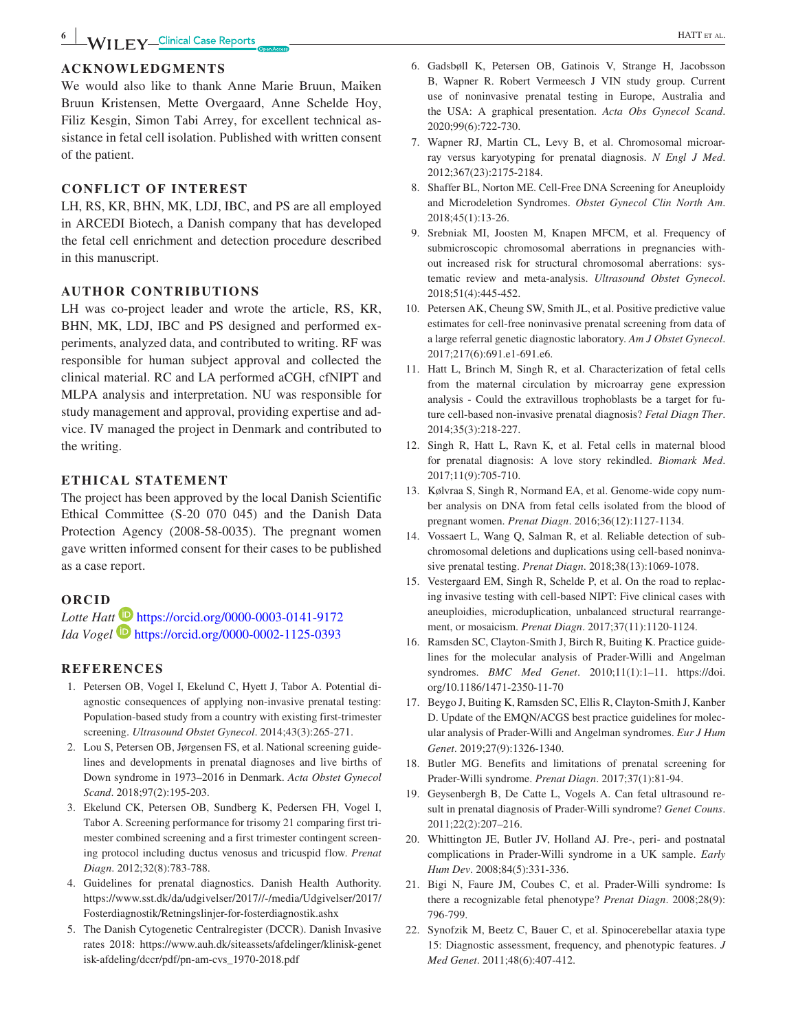## **ACKNOWLEDGMENTS**

We would also like to thank Anne Marie Bruun, Maiken Bruun Kristensen, Mette Overgaard, Anne Schelde Hoy, Filiz Kesgin, Simon Tabi Arrey, for excellent technical assistance in fetal cell isolation. Published with written consent of the patient.

## **CONFLICT OF INTEREST**

LH, RS, KR, BHN, MK, LDJ, IBC, and PS are all employed in ARCEDI Biotech, a Danish company that has developed the fetal cell enrichment and detection procedure described in this manuscript.

## **AUTHOR CONTRIBUTIONS**

LH was co-project leader and wrote the article, RS, KR, BHN, MK, LDJ, IBC and PS designed and performed experiments, analyzed data, and contributed to writing. RF was responsible for human subject approval and collected the clinical material. RC and LA performed aCGH, cfNIPT and MLPA analysis and interpretation. NU was responsible for study management and approval, providing expertise and advice. IV managed the project in Denmark and contributed to the writing.

## **ETHICAL STATEMENT**

The project has been approved by the local Danish Scientific Ethical Committee (S-20 070 045) and the Danish Data Protection Agency (2008-58-0035). The pregnant women gave written informed consent for their cases to be published as a case report.

## **ORCID**

*Lo[t](https://orcid.org/0000-0002-1125-0393)te Hatt* **ID** <https://orcid.org/0000-0003-0141-9172> *Ida Vogel* <https://orcid.org/0000-0002-1125-0393>

## **REFERENCES**

- 1. Petersen OB, Vogel I, Ekelund C, Hyett J, Tabor A. Potential diagnostic consequences of applying non-invasive prenatal testing: Population-based study from a country with existing first-trimester screening. *Ultrasound Obstet Gynecol*. 2014;43(3):265-271.
- 2. Lou S, Petersen OB, Jørgensen FS, et al. National screening guidelines and developments in prenatal diagnoses and live births of Down syndrome in 1973–2016 in Denmark. *Acta Obstet Gynecol Scand*. 2018;97(2):195-203.
- 3. Ekelund CK, Petersen OB, Sundberg K, Pedersen FH, Vogel I, Tabor A. Screening performance for trisomy 21 comparing first trimester combined screening and a first trimester contingent screening protocol including ductus venosus and tricuspid flow. *Prenat Diagn*. 2012;32(8):783-788.
- 4. Guidelines for prenatal diagnostics. Danish Health Authority. [https://www.sst.dk/da/udgivelser/2017//-/media/Udgivelser/2017/](https://www.sst.dk/da/udgivelser/2017//-/media/Udgivelser/2017/Fosterdiagnostik/Retningslinjer-for-fosterdiagnostik.ashx) [Fosterdiagnostik/Retningslinjer-for-fosterdiagnostik.ashx](https://www.sst.dk/da/udgivelser/2017//-/media/Udgivelser/2017/Fosterdiagnostik/Retningslinjer-for-fosterdiagnostik.ashx)
- 5. The Danish Cytogenetic Centralregister (DCCR). Danish Invasive rates 2018: [https://www.auh.dk/siteassets/afdelinger/klinisk-genet](https://www.auh.dk/siteassets/afdelinger/klinisk-genetisk-afdeling/dccr/pdf/pn-am-cvs_1970-2018.pdf) [isk-afdeling/dccr/pdf/pn-am-cvs\\_1970-2018.pdf](https://www.auh.dk/siteassets/afdelinger/klinisk-genetisk-afdeling/dccr/pdf/pn-am-cvs_1970-2018.pdf)
- B, Wapner R. Robert Vermeesch J VIN study group. Current use of noninvasive prenatal testing in Europe, Australia and the USA: A graphical presentation. *Acta Obs Gynecol Scand*. 2020;99(6):722-730.
- 7. Wapner RJ, Martin CL, Levy B, et al. Chromosomal microarray versus karyotyping for prenatal diagnosis. *N Engl J Med*. 2012;367(23):2175-2184.
- 8. Shaffer BL, Norton ME. Cell-Free DNA Screening for Aneuploidy and Microdeletion Syndromes. *Obstet Gynecol Clin North Am*. 2018;45(1):13-26.
- 9. Srebniak MI, Joosten M, Knapen MFCM, et al. Frequency of submicroscopic chromosomal aberrations in pregnancies without increased risk for structural chromosomal aberrations: systematic review and meta-analysis. *Ultrasound Obstet Gynecol*. 2018;51(4):445-452.
- 10. Petersen AK, Cheung SW, Smith JL, et al. Positive predictive value estimates for cell-free noninvasive prenatal screening from data of a large referral genetic diagnostic laboratory. *Am J Obstet Gynecol*. 2017;217(6):691.e1-691.e6.
- 11. Hatt L, Brinch M, Singh R, et al. Characterization of fetal cells from the maternal circulation by microarray gene expression analysis - Could the extravillous trophoblasts be a target for future cell-based non-invasive prenatal diagnosis? *Fetal Diagn Ther*. 2014;35(3):218-227.
- 12. Singh R, Hatt L, Ravn K, et al. Fetal cells in maternal blood for prenatal diagnosis: A love story rekindled. *Biomark Med*. 2017;11(9):705-710.
- 13. Kølvraa S, Singh R, Normand EA, et al. Genome-wide copy number analysis on DNA from fetal cells isolated from the blood of pregnant women. *Prenat Diagn*. 2016;36(12):1127-1134.
- 14. Vossaert L, Wang Q, Salman R, et al. Reliable detection of subchromosomal deletions and duplications using cell-based noninvasive prenatal testing. *Prenat Diagn*. 2018;38(13):1069-1078.
- 15. Vestergaard EM, Singh R, Schelde P, et al. On the road to replacing invasive testing with cell-based NIPT: Five clinical cases with aneuploidies, microduplication, unbalanced structural rearrangement, or mosaicism. *Prenat Diagn*. 2017;37(11):1120-1124.
- 16. Ramsden SC, Clayton-Smith J, Birch R, Buiting K. Practice guidelines for the molecular analysis of Prader-Willi and Angelman syndromes. *BMC Med Genet*. 2010;11(1):1–11. [https://doi.](https://doi.org/10.1186/1471-2350-11-70) [org/10.1186/1471-2350-11-70](https://doi.org/10.1186/1471-2350-11-70)
- 17. Beygo J, Buiting K, Ramsden SC, Ellis R, Clayton-Smith J, Kanber D. Update of the EMQN/ACGS best practice guidelines for molecular analysis of Prader-Willi and Angelman syndromes. *Eur J Hum Genet*. 2019;27(9):1326-1340.
- 18. Butler MG. Benefits and limitations of prenatal screening for Prader-Willi syndrome. *Prenat Diagn*. 2017;37(1):81-94.
- 19. Geysenbergh B, De Catte L, Vogels A. Can fetal ultrasound result in prenatal diagnosis of Prader-Willi syndrome? *Genet Couns*. 2011;22(2):207–216.
- 20. Whittington JE, Butler JV, Holland AJ. Pre-, peri- and postnatal complications in Prader-Willi syndrome in a UK sample. *Early Hum Dev*. 2008;84(5):331-336.
- 21. Bigi N, Faure JM, Coubes C, et al. Prader-Willi syndrome: Is there a recognizable fetal phenotype? *Prenat Diagn*. 2008;28(9): 796-799.
- 22. Synofzik M, Beetz C, Bauer C, et al. Spinocerebellar ataxia type 15: Diagnostic assessment, frequency, and phenotypic features. *J Med Genet*. 2011;48(6):407-412.